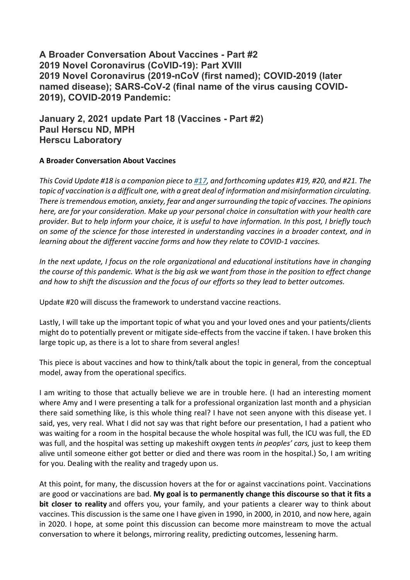**A Broader Conversation About Vaccines - Part #2 2019 Novel Coronavirus (CoVID-19): Part XVIII 2019 Novel Coronavirus (2019-nCoV (first named); COVID-2019 (later named disease); SARS-CoV-2 (final name of the virus causing COVID-2019), COVID-2019 Pandemic:**

**January 2, 2021 update Part 18 (Vaccines - Part #2) Paul Herscu ND, MPH Herscu Laboratory**

#### **A Broader Conversation About Vaccines**

*This Covid Update #18 is a companion piece to #17, and forthcoming updates #19, #20, and #21. The topic of vaccination is a difficult one, with a great deal of information and misinformation circulating. There is tremendous emotion, anxiety, fear and anger surrounding the topic of vaccines. The opinions here, are for your consideration. Make up your personal choice in consultation with your health care provider. But to help inform your choice, it is useful to have information. In this post, I briefly touch on some of the science for those interested in understanding vaccines in a broader context, and in learning about the different vaccine forms and how they relate to COVID-1 vaccines.*

*In the next update, I focus on the role organizational and educational institutions have in changing the course of this pandemic. What is the big ask we want from those in the position to effect change and how to shift the discussion and the focus of our efforts so they lead to better outcomes.*

Update #20 will discuss the framework to understand vaccine reactions.

Lastly, I will take up the important topic of what you and your loved ones and your patients/clients might do to potentially prevent or mitigate side-effects from the vaccine if taken. I have broken this large topic up, as there is a lot to share from several angles!

This piece is about vaccines and how to think/talk about the topic in general, from the conceptual model, away from the operational specifics.

I am writing to those that actually believe we are in trouble here. (I had an interesting moment where Amy and I were presenting a talk for a professional organization last month and a physician there said something like, is this whole thing real? I have not seen anyone with this disease yet. I said, yes, very real. What I did not say was that right before our presentation, I had a patient who was waiting for a room in the hospital because the whole hospital was full, the ICU was full, the ED was full, and the hospital was setting up makeshift oxygen tents *in peoples' cars,* just to keep them alive until someone either got better or died and there was room in the hospital.) So, I am writing for you. Dealing with the reality and tragedy upon us.

At this point, for many, the discussion hovers at the for or against vaccinations point. Vaccinations are good or vaccinations are bad. **My goal is to permanently change this discourse so that it fits a bit closer to reality** and offers you, your family, and your patients a clearer way to think about vaccines. This discussion is the same one I have given in 1990, in 2000, in 2010, and now here, again in 2020. I hope, at some point this discussion can become more mainstream to move the actual conversation to where it belongs, mirroring reality, predicting outcomes, lessening harm.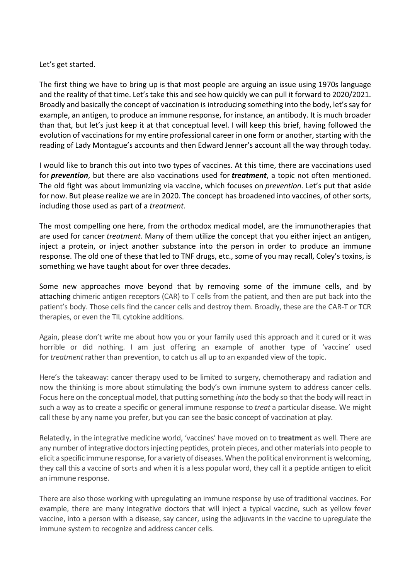### Let's get started.

The first thing we have to bring up is that most people are arguing an issue using 1970s language and the reality of that time. Let's take this and see how quickly we can pull it forward to 2020/2021. Broadly and basically the concept of vaccination is introducing something into the body, let's say for example, an antigen, to produce an immune response, for instance, an antibody. It is much broader than that, but let's just keep it at that conceptual level. I will keep this brief, having followed the evolution of vaccinations for my entire professional career in one form or another, starting with the reading of Lady Montague's accounts and then Edward Jenner's account all the way through today.

I would like to branch this out into two types of vaccines. At this time, there are vaccinations used for *prevention*, but there are also vaccinations used for *treatment*, a topic not often mentioned. The old fight was about immunizing via vaccine, which focuses on *prevention*. Let's put that aside for now. But please realize we are in 2020. The concept has broadened into vaccines, of other sorts, including those used as part of a *treatment*.

The most compelling one here, from the orthodox medical model, are the immunotherapies that are used for cancer *treatment*. Many of them utilize the concept that you either inject an antigen, inject a protein, or inject another substance into the person in order to produce an immune response. The old one of these that led to TNF drugs, etc., some of you may recall, Coley's toxins, is something we have taught about for over three decades.

Some new approaches move beyond that by removing some of the immune cells, and by attaching chimeric antigen receptors (CAR) to T cells from the patient, and then are put back into the patient's body. Those cells find the cancer cells and destroy them. Broadly, these are the CAR-T or TCR therapies, or even the TIL cytokine additions.

Again, please don't write me about how you or your family used this approach and it cured or it was horrible or did nothing. I am just offering an example of another type of 'vaccine' used for *treatment* rather than prevention, to catch us all up to an expanded view of the topic.

Here's the takeaway: cancer therapy used to be limited to surgery, chemotherapy and radiation and now the thinking is more about stimulating the body's own immune system to address cancer cells. Focus here on the conceptual model, that putting something *into* the body so that the body will react in such a way as to create a specific or general immune response to *treat* a particular disease. We might call these by any name you prefer, but you can see the basic concept of vaccination at play.

Relatedly, in the integrative medicine world, 'vaccines' have moved on to **treatment** as well. There are any number of integrative doctors injecting peptides, protein pieces, and other materials into people to elicit a specific immune response, for a variety of diseases. When the political environment is welcoming, they call this a vaccine of sorts and when it is a less popular word, they call it a peptide antigen to elicit an immune response.

There are also those working with upregulating an immune response by use of traditional vaccines. For example, there are many integrative doctors that will inject a typical vaccine, such as yellow fever vaccine, into a person with a disease, say cancer, using the adjuvants in the vaccine to upregulate the immune system to recognize and address cancer cells.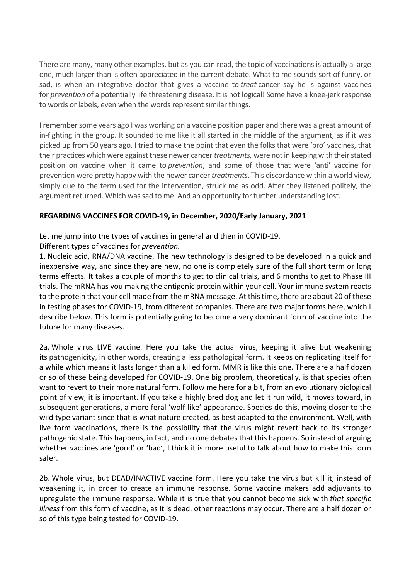There are many, many other examples, but as you can read, the topic of vaccinations is actually a large one, much larger than is often appreciated in the current debate. What to me sounds sort of funny, or sad, is when an integrative doctor that gives a vaccine to *treat* cancer say he is against vaccines for *prevention* of a potentially life threatening disease. It is not logical! Some have a knee-jerk response to words or labels, even when the words represent similar things.

I remember some years ago I was working on a vaccine position paper and there was a great amount of in-fighting in the group. It sounded to me like it all started in the middle of the argument, as if it was picked up from 50 years ago. I tried to make the point that even the folks that were 'pro' vaccines, that their practices which were against these newer cancer *treatments,* were not in keeping with their stated position on vaccine when it came to *prevention*, and some of those that were 'anti' vaccine for prevention were pretty happy with the newer cancer *treatments*. This discordance within a world view, simply due to the term used for the intervention, struck me as odd. After they listened politely, the argument returned. Which was sad to me. And an opportunity for further understanding lost.

# **REGARDING VACCINES FOR COVID-19, in December, 2020/Early January, 2021**

Let me jump into the types of vaccines in general and then in COVID-19.

Different types of vaccines for *prevention.*

1. Nucleic acid, RNA/DNA vaccine. The new technology is designed to be developed in a quick and inexpensive way, and since they are new, no one is completely sure of the full short term or long terms effects. It takes a couple of months to get to clinical trials, and 6 months to get to Phase III trials. The mRNA has you making the antigenic protein within your cell. Your immune system reacts to the protein that your cell made from the mRNA message. At this time, there are about 20 of these in testing phases for COVID-19, from different companies. There are two major forms here, which I describe below. This form is potentially going to become a very dominant form of vaccine into the future for many diseases.

2a. Whole virus LIVE vaccine. Here you take the actual virus, keeping it alive but weakening its pathogenicity, in other words, creating a less pathological form. It keeps on replicating itself for a while which means it lasts longer than a killed form. MMR is like this one. There are a half dozen or so of these being developed for COVID-19. One big problem, theoretically, is that species often want to revert to their more natural form. Follow me here for a bit, from an evolutionary biological point of view, it is important. If you take a highly bred dog and let it run wild, it moves toward, in subsequent generations, a more feral 'wolf-like' appearance. Species do this, moving closer to the wild type variant since that is what nature created, as best adapted to the environment. Well, with live form vaccinations, there is the possibility that the virus might revert back to its stronger pathogenic state. This happens, in fact, and no one debates that this happens. So instead of arguing whether vaccines are 'good' or 'bad', I think it is more useful to talk about how to make this form safer.

2b. Whole virus, but DEAD/INACTIVE vaccine form. Here you take the virus but kill it, instead of weakening it, in order to create an immune response. Some vaccine makers add adjuvants to upregulate the immune response. While it is true that you cannot become sick with *that specific illness* from this form of vaccine, as it is dead, other reactions may occur. There are a half dozen or so of this type being tested for COVID-19.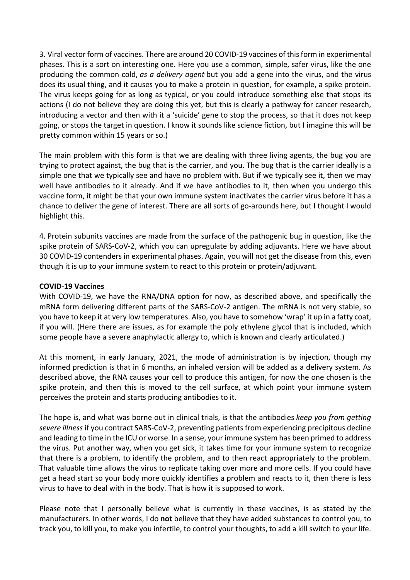3. Viral vector form of vaccines. There are around 20 COVID-19 vaccines of this form in experimental phases. This is a sort on interesting one. Here you use a common, simple, safer virus, like the one producing the common cold, *as a delivery agent* but you add a gene into the virus, and the virus does its usual thing, and it causes you to make a protein in question, for example, a spike protein. The virus keeps going for as long as typical, or you could introduce something else that stops its actions (I do not believe they are doing this yet, but this is clearly a pathway for cancer research, introducing a vector and then with it a 'suicide' gene to stop the process, so that it does not keep going, or stops the target in question. I know it sounds like science fiction, but I imagine this will be pretty common within 15 years or so.)

The main problem with this form is that we are dealing with three living agents, the bug you are trying to protect against, the bug that is the carrier, and you. The bug that is the carrier ideally is a simple one that we typically see and have no problem with. But if we typically see it, then we may well have antibodies to it already. And if we have antibodies to it, then when you undergo this vaccine form, it might be that your own immune system inactivates the carrier virus before it has a chance to deliver the gene of interest. There are all sorts of go-arounds here, but I thought I would highlight this.

4. Protein subunits vaccines are made from the surface of the pathogenic bug in question, like the spike protein of SARS-CoV-2, which you can upregulate by adding adjuvants. Here we have about 30 COVID-19 contenders in experimental phases. Again, you will not get the disease from this, even though it is up to your immune system to react to this protein or protein/adjuvant.

### **COVID-19 Vaccines**

With COVID-19, we have the RNA/DNA option for now, as described above, and specifically the mRNA form delivering different parts of the SARS-CoV-2 antigen. The mRNA is not very stable, so you have to keep it at very low temperatures. Also, you have to somehow 'wrap' it up in a fatty coat, if you will. (Here there are issues, as for example the poly ethylene glycol that is included, which some people have a severe anaphylactic allergy to, which is known and clearly articulated.)

At this moment, in early January, 2021, the mode of administration is by injection, though my informed prediction is that in 6 months, an inhaled version will be added as a delivery system. As described above, the RNA causes your cell to produce this antigen, for now the one chosen is the spike protein, and then this is moved to the cell surface, at which point your immune system perceives the protein and starts producing antibodies to it.

The hope is, and what was borne out in clinical trials, is that the antibodies *keep you from getting severe illness* if you contract SARS-CoV-2, preventing patients from experiencing precipitous decline and leading to time in the ICU or worse. In a sense, your immune system has been primed to address the virus. Put another way, when you get sick, it takes time for your immune system to recognize that there is a problem, to identify the problem, and to then react appropriately to the problem. That valuable time allows the virus to replicate taking over more and more cells. If you could have get a head start so your body more quickly identifies a problem and reacts to it, then there is less virus to have to deal with in the body. That is how it is supposed to work.

Please note that I personally believe what is currently in these vaccines, is as stated by the manufacturers. In other words, I do **not** believe that they have added substances to control you, to track you, to kill you, to make you infertile, to control your thoughts, to add a kill switch to your life.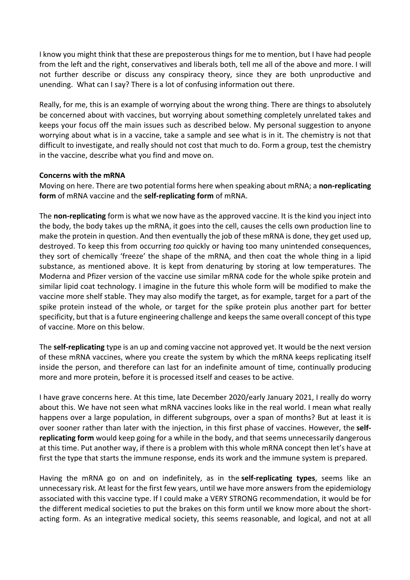I know you might think that these are preposterous things for me to mention, but I have had people from the left and the right, conservatives and liberals both, tell me all of the above and more. I will not further describe or discuss any conspiracy theory, since they are both unproductive and unending. What can I say? There is a lot of confusing information out there.

Really, for me, this is an example of worrying about the wrong thing. There are things to absolutely be concerned about with vaccines, but worrying about something completely unrelated takes and keeps your focus off the main issues such as described below. My personal suggestion to anyone worrying about what is in a vaccine, take a sample and see what is in it. The chemistry is not that difficult to investigate, and really should not cost that much to do. Form a group, test the chemistry in the vaccine, describe what you find and move on.

## **Concerns with the mRNA**

Moving on here. There are two potential forms here when speaking about mRNA; a **non-replicating form** of mRNA vaccine and the **self-replicating form** of mRNA.

The **non-replicating** form is what we now have as the approved vaccine. It is the kind you inject into the body, the body takes up the mRNA, it goes into the cell, causes the cells own production line to make the protein in question. And then eventually the job of these mRNA is done, they get used up, destroyed. To keep this from occurring *too* quickly or having too many unintended consequences, they sort of chemically 'freeze' the shape of the mRNA, and then coat the whole thing in a lipid substance, as mentioned above. It is kept from denaturing by storing at low temperatures. The Moderna and Pfizer version of the vaccine use similar mRNA code for the whole spike protein and similar lipid coat technology. I imagine in the future this whole form will be modified to make the vaccine more shelf stable. They may also modify the target, as for example, target for a part of the spike protein instead of the whole, or target for the spike protein plus another part for better specificity, but that is a future engineering challenge and keeps the same overall concept of this type of vaccine. More on this below.

The **self-replicating** type is an up and coming vaccine not approved yet. It would be the next version of these mRNA vaccines, where you create the system by which the mRNA keeps replicating itself inside the person, and therefore can last for an indefinite amount of time, continually producing more and more protein, before it is processed itself and ceases to be active.

I have grave concerns here. At this time, late December 2020/early January 2021, I really do worry about this. We have not seen what mRNA vaccines looks like in the real world. I mean what really happens over a large population, in different subgroups, over a span of months? But at least it is over sooner rather than later with the injection, in this first phase of vaccines. However, the **selfreplicating form** would keep going for a while in the body, and that seems unnecessarily dangerous at this time. Put another way, if there is a problem with this whole mRNA concept then let's have at first the type that starts the immune response, ends its work and the immune system is prepared.

Having the mRNA go on and on indefinitely, as in the **self-replicating types**, seems like an unnecessary risk. At least for the first few years, until we have more answers from the epidemiology associated with this vaccine type. If I could make a VERY STRONG recommendation, it would be for the different medical societies to put the brakes on this form until we know more about the shortacting form. As an integrative medical society, this seems reasonable, and logical, and not at all